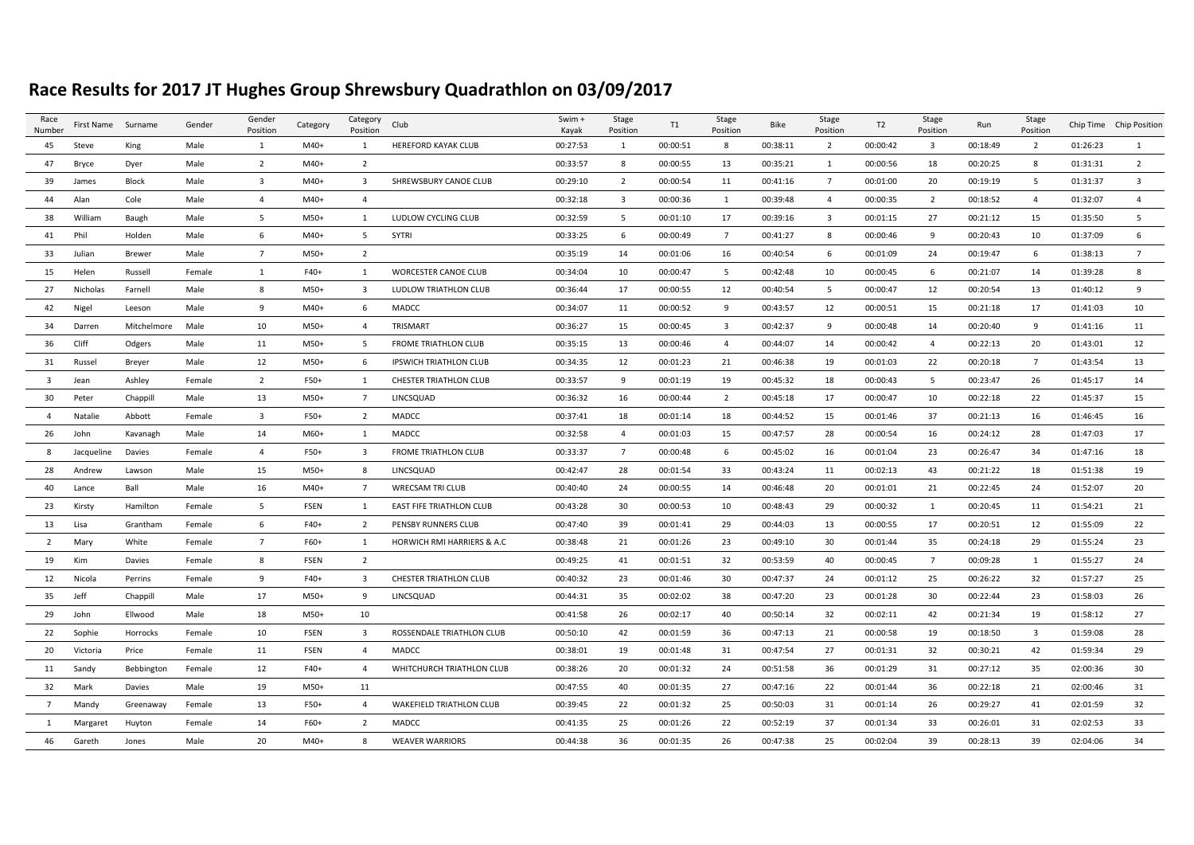## **Race Results for 2017 JT Hughes Group Shrewsbury Quadrathlon on 03/09/2017**

| Race<br>Number          | First Name Surname |               | Gender | Gender<br>Position | Category    | Category<br>Position    | Club                            | Swim +<br>Kayak | Stage<br>Position       | T1       | Stage<br>Position | <b>Bike</b> | Stage<br>Position       | T <sub>2</sub> | Stage<br>Position       | Run      | Stage<br>Position       |          | Chip Time Chip Position |
|-------------------------|--------------------|---------------|--------|--------------------|-------------|-------------------------|---------------------------------|-----------------|-------------------------|----------|-------------------|-------------|-------------------------|----------------|-------------------------|----------|-------------------------|----------|-------------------------|
| 45                      | Steve              | King          | Male   | 1                  | $M40+$      | 1                       | HEREFORD KAYAK CLUB             | 00:27:53        | 1                       | 00:00:51 | 8                 | 00:38:11    | $\overline{2}$          | 00:00:42       | $\overline{\mathbf{3}}$ | 00:18:49 | $\overline{2}$          | 01:26:23 | 1                       |
| 47                      | Bryce              | Dyer          | Male   | $\overline{2}$     | $M40+$      | $\overline{2}$          |                                 | 00:33:57        | 8                       | 00:00:55 | 13                | 00:35:21    | 1                       | 00:00:56       | 18                      | 00:20:25 | 8                       | 01:31:31 | $\overline{2}$          |
| 39                      | James              | <b>Block</b>  | Male   | $\overline{3}$     | $M40+$      | 3                       | SHREWSBURY CANOE CLUB           | 00:29:10        | $\overline{2}$          | 00:00:54 | 11                | 00:41:16    | $\overline{7}$          | 00:01:00       | 20                      | 00:19:19 | 5                       | 01:31:37 | 3                       |
| 44                      | Alan               | Cole          | Male   | $\overline{4}$     | $M40+$      | $\overline{4}$          |                                 | 00:32:18        | $\overline{\mathbf{3}}$ | 00:00:36 | 1                 | 00:39:48    | $\overline{4}$          | 00:00:35       | $\overline{2}$          | 00:18:52 | $\overline{4}$          | 01:32:07 | $\overline{4}$          |
| 38                      | William            | Baugh         | Male   | 5                  | $M50+$      | $\mathbf{1}$            | LUDLOW CYCLING CLUB             | 00:32:59        | 5 <sup>5</sup>          | 00:01:10 | 17                | 00:39:16    | $\overline{\mathbf{3}}$ | 00:01:15       | 27                      | 00:21:12 | 15                      | 01:35:50 | 5                       |
| 41                      | Phil               | Holden        | Male   | 6                  | M40+        | 5                       | SYTRI                           | 00:33:25        | 6                       | 00:00:49 | $7\overline{ }$   | 00:41:27    | 8                       | 00:00:46       | 9                       | 00:20:43 | 10                      | 01:37:09 | 6                       |
| 33                      | Julian             | <b>Brewer</b> | Male   | $\overline{7}$     | M50+        | $\overline{2}$          |                                 | 00:35:19        | 14                      | 00:01:06 | 16                | 00:40:54    | 6                       | 00:01:09       | 24                      | 00:19:47 | 6                       | 01:38:13 | $\overline{7}$          |
| 15                      | Helen              | Russell       | Female | 1                  | F40+        | 1                       | <b>WORCESTER CANOE CLUB</b>     | 00:34:04        | 10                      | 00:00:47 | 5                 | 00:42:48    | 10                      | 00:00:45       | 6                       | 00:21:07 | 14                      | 01:39:28 | 8                       |
| 27                      | Nicholas           | Farnell       | Male   | 8                  | M50+        | $\overline{3}$          | LUDLOW TRIATHLON CLUB           | 00:36:44        | 17                      | 00:00:55 | 12                | 00:40:54    | - 5                     | 00:00:47       | 12                      | 00:20:54 | 13                      | 01:40:12 | 9                       |
| 42                      | Nigel              | Leeson        | Male   | 9                  | $M40+$      | 6                       | MADCC                           | 00:34:07        | 11                      | 00:00:52 | 9                 | 00:43:57    | 12                      | 00:00:51       | 15                      | 00:21:18 | 17                      | 01:41:03 | 10                      |
| 34                      | Darren             | Mitchelmore   | Male   | 10                 | M50+        | $\overline{4}$          | TRISMART                        | 00:36:27        | 15                      | 00:00:45 | $\overline{3}$    | 00:42:37    | 9                       | 00:00:48       | 14                      | 00:20:40 | 9                       | 01:41:16 | 11                      |
| 36                      | Cliff              | Odgers        | Male   | 11                 | M50+        | 5                       | <b>FROME TRIATHLON CLUB</b>     | 00:35:15        | 13                      | 00:00:46 | $\overline{4}$    | 00:44:07    | 14                      | 00:00:42       | $\overline{4}$          | 00:22:13 | 20                      | 01:43:01 | 12                      |
| 31                      | Russel             | Breyer        | Male   | 12                 | M50+        | 6                       | <b>IPSWICH TRIATHLON CLUB</b>   | 00:34:35        | 12                      | 00:01:23 | 21                | 00:46:38    | 19                      | 00:01:03       | 22                      | 00:20:18 | $7\overline{ }$         | 01:43:54 | 13                      |
| $\overline{\mathbf{3}}$ | Jean               | Ashley        | Female | 2                  | F50+        | 1                       | <b>CHESTER TRIATHLON CLUB</b>   | 00:33:57        | 9                       | 00:01:19 | 19                | 00:45:32    | 18                      | 00:00:43       | -5                      | 00:23:47 | 26                      | 01:45:17 | 14                      |
| 30                      | Peter              | Chappill      | Male   | 13                 | $M50+$      | $\overline{7}$          | LINCSQUAD                       | 00:36:32        | 16                      | 00:00:44 | $\overline{2}$    | 00:45:18    | 17                      | 00:00:47       | 10                      | 00:22:18 | 22                      | 01:45:37 | 15                      |
| $\overline{a}$          | Natalie            | Abbott        | Female | $\overline{3}$     | F50+        | 2                       | <b>MADCC</b>                    | 00:37:41        | 18                      | 00:01:14 | 18                | 00:44:52    | 15                      | 00:01:46       | 37                      | 00:21:13 | 16                      | 01:46:45 | 16                      |
| 26                      | John               | Kavanagh      | Male   | 14                 | M60+        | 1                       | MADCC                           | 00:32:58        | $\overline{4}$          | 00:01:03 | 15                | 00:47:57    | 28                      | 00:00:54       | 16                      | 00:24:12 | 28                      | 01:47:03 | 17                      |
| 8                       | Jacqueline         | Davies        | Female | $\overline{4}$     | F50+        | 3                       | <b>FROME TRIATHLON CLUB</b>     | 00:33:37        | $\overline{7}$          | 00:00:48 | 6                 | 00:45:02    | 16                      | 00:01:04       | 23                      | 00:26:47 | 34                      | 01:47:16 | 18                      |
| 28                      | Andrew             | Lawson        | Male   | 15                 | M50+        | 8                       | LINCSQUAD                       | 00:42:47        | 28                      | 00:01:54 | 33                | 00:43:24    | 11                      | 00:02:13       | 43                      | 00:21:22 | 18                      | 01:51:38 | 19                      |
| 40                      | Lance              | Ball          | Male   | 16                 | $M40+$      | $\overline{7}$          | <b>WRECSAM TRI CLUB</b>         | 00:40:40        | 24                      | 00:00:55 | 14                | 00:46:48    | 20                      | 00:01:01       | 21                      | 00:22:45 | 24                      | 01:52:07 | 20                      |
| 23                      | Kirsty             | Hamilton      | Female | 5                  | <b>FSEN</b> | 1                       | EAST FIFE TRIATHLON CLUB        | 00:43:28        | 30                      | 00:00:53 | 10                | 00:48:43    | 29                      | 00:00:32       | 1                       | 00:20:45 | 11                      | 01:54:21 | 21                      |
| 13                      | Lisa               | Grantham      | Female | 6                  | F40+        | $\overline{2}$          | PENSBY RUNNERS CLUB             | 00:47:40        | 39                      | 00:01:41 | 29                | 00:44:03    | 13                      | 00:00:55       | 17                      | 00:20:51 | 12                      | 01:55:09 | 22                      |
| $\overline{2}$          | Mary               | White         | Female | $\overline{7}$     | F60+        | 1                       | HORWICH RMI HARRIERS & A.C      | 00:38:48        | 21                      | 00:01:26 | 23                | 00:49:10    | 30                      | 00:01:44       | 35                      | 00:24:18 | 29                      | 01:55:24 | 23                      |
| 19                      | Kim                | Davies        | Female | 8                  | <b>FSEN</b> | $\overline{2}$          |                                 | 00:49:25        | 41                      | 00:01:51 | 32                | 00:53:59    | 40                      | 00:00:45       | $7\overline{ }$         | 00:09:28 | 1                       | 01:55:27 | 24                      |
| 12                      | Nicola             | Perrins       | Female | 9                  | F40+        | $\overline{3}$          | <b>CHESTER TRIATHLON CLUB</b>   | 00:40:32        | 23                      | 00:01:46 | 30                | 00:47:37    | 24                      | 00:01:12       | 25                      | 00:26:22 | 32                      | 01:57:27 | 25                      |
| 35                      | Jeff               | Chappill      | Male   | 17                 | $M50+$      | 9                       | LINCSQUAD                       | 00:44:31        | 35                      | 00:02:02 | 38                | 00:47:20    | 23                      | 00:01:28       | 30                      | 00:22:44 | 23                      | 01:58:03 | 26                      |
| 29                      | John               | Ellwood       | Male   | 18                 | $M50+$      | 10                      |                                 | 00:41:58        | 26                      | 00:02:17 | 40                | 00:50:14    | 32                      | 00:02:11       | 42                      | 00:21:34 | 19                      | 01:58:12 | 27                      |
| 22                      | Sophie             | Horrocks      | Female | 10                 | <b>FSEN</b> | $\overline{\mathbf{3}}$ | ROSSENDALE TRIATHLON CLUB       | 00:50:10        | 42                      | 00:01:59 | 36                | 00:47:13    | 21                      | 00:00:58       | 19                      | 00:18:50 | $\overline{\mathbf{3}}$ | 01:59:08 | 28                      |
| 20                      | Victoria           | Price         | Female | 11                 | <b>FSEN</b> | $\overline{4}$          | MADCC                           | 00:38:01        | 19                      | 00:01:48 | 31                | 00:47:54    | 27                      | 00:01:31       | 32                      | 00:30:21 | 42                      | 01:59:34 | 29                      |
| 11                      | Sandy              | Bebbington    | Female | 12                 | F40+        | $\overline{4}$          | WHITCHURCH TRIATHLON CLUB       | 00:38:26        | 20                      | 00:01:32 | 24                | 00:51:58    | 36                      | 00:01:29       | 31                      | 00:27:12 | 35                      | 02:00:36 | 30                      |
| 32                      | Mark               | Davies        | Male   | 19                 | M50+        | 11                      |                                 | 00:47:55        | 40                      | 00:01:35 | 27                | 00:47:16    | 22                      | 00:01:44       | 36                      | 00:22:18 | 21                      | 02:00:46 | 31                      |
| $\overline{7}$          | Mandy              | Greenaway     | Female | 13                 | F50+        | $\overline{4}$          | <b>WAKEFIELD TRIATHLON CLUB</b> | 00:39:45        | 22                      | 00:01:32 | 25                | 00:50:03    | 31                      | 00:01:14       | 26                      | 00:29:27 | 41                      | 02:01:59 | 32                      |
| 1                       | Margaret           | Huyton        | Female | 14                 | F60+        | $\overline{2}$          | MADCC                           | 00:41:35        | 25                      | 00:01:26 | 22                | 00:52:19    | 37                      | 00:01:34       | 33                      | 00:26:01 | 31                      | 02:02:53 | 33                      |
| 46                      | Gareth             | Jones         | Male   | 20                 | $M40+$      | 8                       | <b>WEAVER WARRIORS</b>          | 00:44:38        | 36                      | 00:01:35 | 26                | 00:47:38    | 25                      | 00:02:04       | 39                      | 00:28:13 | 39                      | 02:04:06 | 34                      |